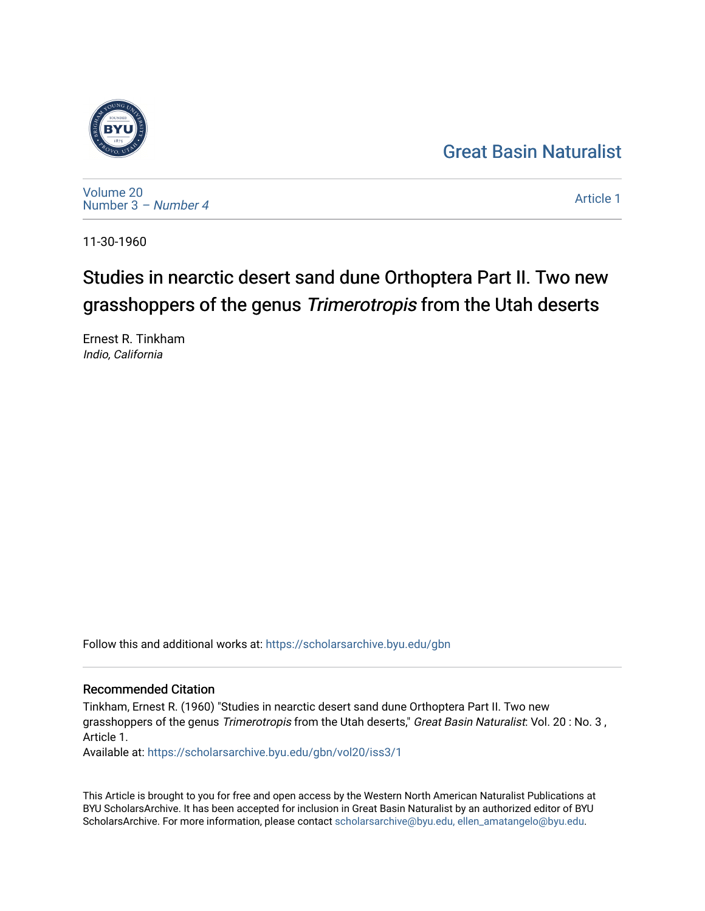### [Great Basin Naturalist](https://scholarsarchive.byu.edu/gbn)



[Volume 20](https://scholarsarchive.byu.edu/gbn/vol20) [Number 3](https://scholarsarchive.byu.edu/gbn/vol20/iss3) – Number 4

[Article 1](https://scholarsarchive.byu.edu/gbn/vol20/iss3/1) 

11-30-1960

# Studies in nearctic desert sand dune Orthoptera Part II. Two new grasshoppers of the genus Trimerotropis from the Utah deserts

Ernest R. Tinkham Indio, California

Follow this and additional works at: [https://scholarsarchive.byu.edu/gbn](https://scholarsarchive.byu.edu/gbn?utm_source=scholarsarchive.byu.edu%2Fgbn%2Fvol20%2Fiss3%2F1&utm_medium=PDF&utm_campaign=PDFCoverPages) 

### Recommended Citation

Tinkham, Ernest R. (1960) "Studies in nearctic desert sand dune Orthoptera Part II. Two new grasshoppers of the genus Trimerotropis from the Utah deserts," Great Basin Naturalist: Vol. 20: No. 3, Article 1.

Available at: [https://scholarsarchive.byu.edu/gbn/vol20/iss3/1](https://scholarsarchive.byu.edu/gbn/vol20/iss3/1?utm_source=scholarsarchive.byu.edu%2Fgbn%2Fvol20%2Fiss3%2F1&utm_medium=PDF&utm_campaign=PDFCoverPages)

This Article is brought to you for free and open access by the Western North American Naturalist Publications at BYU ScholarsArchive. It has been accepted for inclusion in Great Basin Naturalist by an authorized editor of BYU ScholarsArchive. For more information, please contact [scholarsarchive@byu.edu, ellen\\_amatangelo@byu.edu.](mailto:scholarsarchive@byu.edu,%20ellen_amatangelo@byu.edu)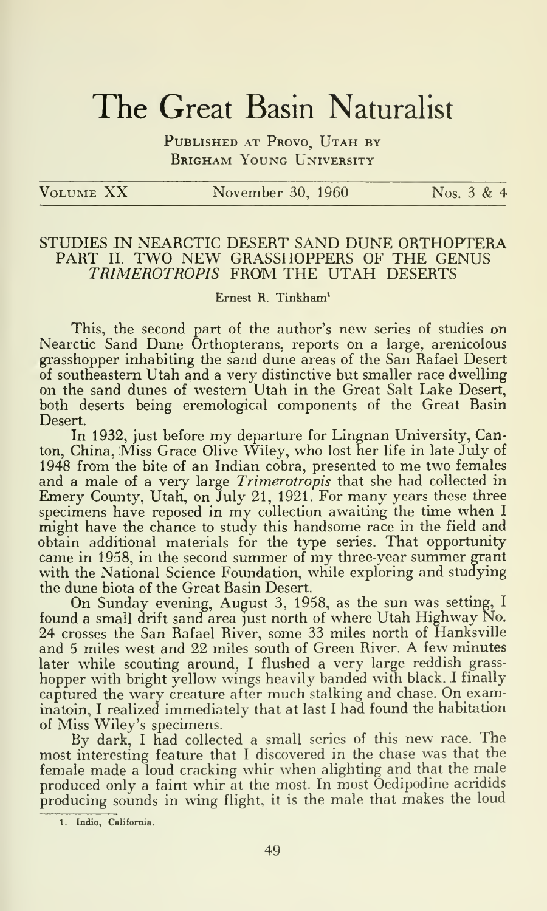# The Great Basin Naturalist

PUBLISHED AT PROVO, UTAH BY BRIGHAM YOUNG UNIVERSITY

VOLUME XX November 30, 1960 Nos.  $3 \& 4$ 

#### STUDIES IN NEARCTIC DESERT SAND DUNE ORTHOPTERA PART II. TWO NEW GRASSHOPPERS OF THE GENUS TRIMEROTROPIS FROM THE UTAH DESERTS

Ernest R. Tinkham^

This, the second part of the author's new series of studies on Nearctic Sand Dune Orthopterans, reports on <sup>a</sup> large, arenicolous grasshopper inhabiting the sand dune areas of the San Rafael Desert of southeastern Utah and a very distinctive but smaller race dwelling on the sand dunes of western Utah in the Great Salt Lake Desert, both deserts being eremological components of the Great Basin Desert.

In 1932, just before my departure for Lingnan University, Canton, China, Miss Grace Olive Wiley, who lost her life in late July of 1948 from the bite of an Indian cobra, presented to me two females and a male of a very large *Trimerotropis* that she had collected in Emery County, Utah, on July 21, 1921. For many years these three specimens have reposed in my collection awaiting the time when <sup>I</sup> might have the chance to study this handsome race in the field and obtain additional materials for the type series. That opportunity came in 1958, in the second summer of my three-year summer grant with the National Science Foundation, while exploring and studying

the dune biota of the Great Basin Desert. On Sunday evening, August 3, 1958, as the sun was setting, <sup>I</sup> found a small drift sand area just north of where Utah Highway No. 24 crosses the San Rafael River, some 33 miles north of Hanksville and <sup>5</sup> miles west and 22 miles south of Green River. A few minutes later while scouting around, <sup>I</sup> flushed a very large reddish grass hopper with bright yellow wings heavily banded with black. I finally captured the wary creature after much stalking and chase. On examinatoin, <sup>I</sup> realized immediately that at last <sup>I</sup> had found the habitation of Miss Wiley's specimens.

By dark, <sup>I</sup> had collected <sup>a</sup> small series of this new race. The most interesting feature that <sup>I</sup> discovered in the chase was that the female made a loud cracking whir when alighting and that the male produced only a faint whir at the most. In most Oedipodine acridids producing sounds in wing flight, it is the male that makes the loud

<sup>1.</sup> Indio, California.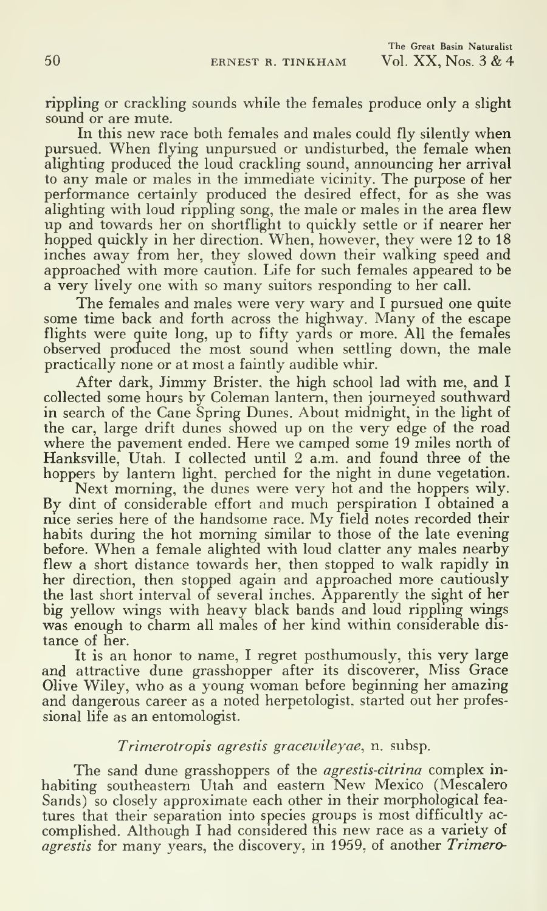rippling or crackling sounds while the females produce only a slight sound or are mute.

In this new race both females and males could fly silently when pursued. When flying unpursued or undisturbed, the female when alighting produced the loud crackling sound, announcing her arrival to any male or males in the immediate vicinity. The purpose of her performance certainly produced the desired effect, for as she was alighting with loud rippling song, the male or males in the area flew up and towards her on shortflight to quickly settle or if nearer her hopped quickly in her direction. When, however, they were 12 to 18 inches away from her, they slowed down their walking speed and approached with more caution. Life for such females appeared to be <sup>a</sup> very lively one with so many suitors responding to her call.

The females and males were very wary and <sup>I</sup> pursued one quite some time back and forth across the highway. Many of the escape flights were quite long, up to fifty yards or more. All the females observed produced the most sound when settling down, the male practically none or at most a faintly audible whir.

After dark, Jimmy Brister, the high school lad with me, and <sup>I</sup> collected some hours by Coleman lantern, then journeyed southward in search of the Cane Spring Dunes. About midnight, in the light of the car, large drift dunes showed up on the very edge of the road where the pavement ended. Here we camped some 19 miles north of Hanksville, Utah. <sup>I</sup> collected until 2 a.m. and found three of the hoppers by lantern light, perched for the night in dune vegetation.

Next morning, the dunes were very hot and the hoppers wily. By dint of considerable effort and much perspiration I obtained a nice series here of the handsome race. My field notes recorded their habits during the hot morning similar to those of the late evening before. When <sup>a</sup> female alighted with loud clatter any males nearby flew a short distance towards her, then stopped to walk rapidly in her direction, then stopped again and approached more cautiously the last short interval of several inches. Apparently the sight of her big yellow wings with heavy black bands and loud rippling wings was enough to charm all males of her kind within considerable dis tance of her.

It is an honor to name, I regret posthumously, this very large and attractive dune grasshopper after its discoverer, Miss Grace Olive Wiley, who as <sup>a</sup> young woman before beginning her amazing and dangerous career as a noted herpetologist. started out her professional life as an entomologist.

#### Trimerotropis agrestis gracewileyae, n. subsp.

The sand dune grasshoppers of the *agrestis-citrina* complex inhabiting southeastern Utah and eastern New Mexico (Mescalero Sands) so closely approximate each other in their morphological features that their separation into species groups is most difficultly ac complished. Although <sup>I</sup> had considered this new race as <sup>a</sup> variety of agrestis for many years, the discovery, in 1959, of another Trimero-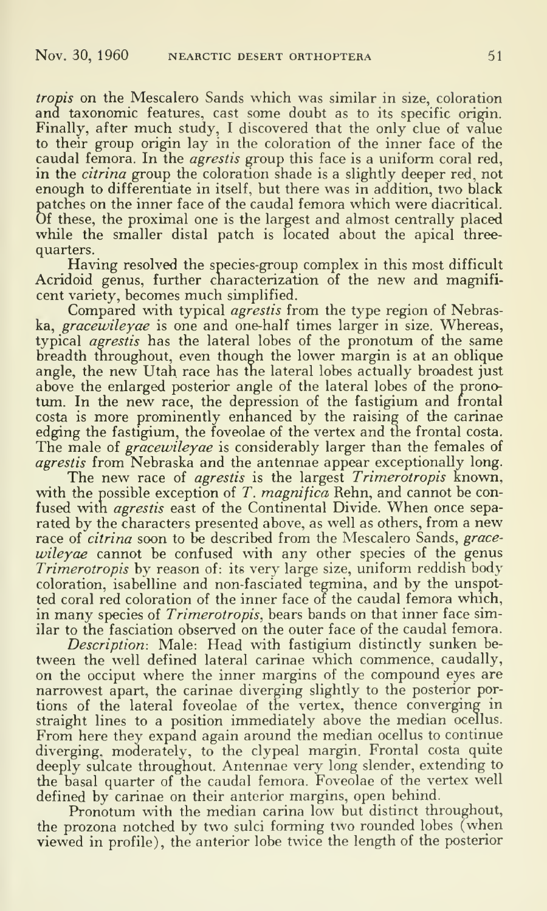tropis on the Mescalero Sands which was similar in size, coloration and taxonomic features, cast some doubt as to its specific origin. Finally, after much study, <sup>I</sup> discovered that the only clue of value to their group origin lay in the coloration of the inner face of the caudal femora. In the agrestis group this face is a uniform coral red, in the citrina group the coloration shade is a slightly deeper red, not enough to differentiate in itself, but there was in addition, two black patches on the inner face of the caudal femora which were diacritical. Of these, the proximal one is the largest and almost centrally placed while the smaller distal patch is located about the apical threequarters.

Having resolved the species-group complex in this most difficult Acridoid genus, further characterization of the new and magnificent variety, becomes much simplified.

Compared with typical *agrestis* from the type region of Nebraska, gracewileyae is one and one-half times larger in size. Whereas, typical agrestis has the lateral lobes of the pronotum of the same breadth throughout, even though the lower margin is at an oblique angle, the new Utah race has the lateral lobes actually broadest just above the enlarged posterior angle of the lateral lobes of the pronotum. In the new race, the depression of the fastigium and frontal costa is more prominently enhanced by the raising of the carinae edging the fastigium, the foveolae of the vertex and the frontal costa. The male of *gracewileyae* is considerably larger than the females of agrestis from Nebraska and the antennae appear exceptionally long.

The new race of *agrestis* is the largest Trimerotropis known, with the possible exception of T. magnifica Rehn, and cannot be confused with *agrestis* east of the Continental Divide. When once separated by the characters presented above, as well as others, from <sup>a</sup> new race of *citring* soon to be described from the Mescalero Sands, *grace*wileyae cannot be confused with any other species of the genus Trimerotropis by reason of: its very large size, uniform reddish body coloration, isabelline and non-fasciated tegmina, and by the unspotted coral red coloration of the inner face of the caudal femora which, in many species of *Trimerotropis*, bears bands on that inner face similar to the fasciation observed on the outer face of the caudal femora.

Description: Male: Head with fastigium distinctly sunken be tween the well defined lateral carinae which commence, caudally, on the occiput where the inner margins of the compound eyes are narrowest apart, the carinae diverging slightly to the posterior portions of the lateral foveolae of the vertex, thence converging in straight lines to a position immediately above the median ocellus. From here they expand again around the median ocellus to continue diverging, moderately, to the clypeal margin. Frontal costa quite deeply sulcate throughout. Antennae very long slender, extending to the basal quarter of the caudal femora. Foveolae of the vertex well defined by carinae on their anterior margins, open behind.

Pronotum with the median carina low but distinct throughout, the prozona notched by two sulci forming two rounded lobes (when viewed in profile), the anterior lobe twice the length of the posterior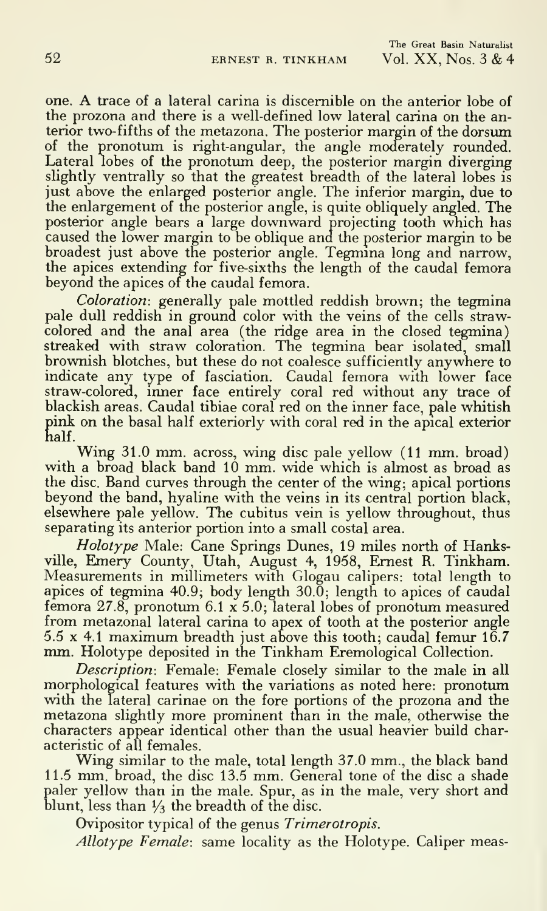one. A trace of <sup>a</sup> lateral carina is discernible on the anterior lobe of the prozona and there is a well-defined low lateral carina on the anterior two-fifths of the metazona. The posterior margin of the dorsum of the pronotum is right-angular, the angle moderately rounded. Lateral lobes of the pronotum deep, the posterior margin diverging slightly ventrally so that the greatest breadth of the lateral lobes is just above the enlarged posterior angle. The inferior margin, due to the enlargement of the posterior angle, is quite obliquely angled. The posterior angle bears a large downward projecting tooth which has caused the lower margin to be oblique and the posterior margin to be broadest just above the posterior angle. Tegmina long and narrow, the apices extending for five-sixths the length of the caudal femora beyond the apices of the caudal femora.

Coloration: generally pale mottled reddish brown; the tegmina pale dull reddish in ground color with the veins of the cells straw colored and the anal area (the ridge area in the closed tegmina) streaked with straw coloration. The tegmina bear isolated, small brownish blotches, but these do not coalesce sufficiently anywhere to indicate any type of fasciation. Caudal femora with lower face straw-colored, inner face entirely coral red without any trace of blackish areas. Caudal tibiae coral red on the inner face, pale whitish pink on the basal half exteriorly with coral red in the apical exterior half.

Wing 31.0 mm. across, wing disc pale yellow (11 mm. broad) with a broad black band 10 mm. wide which is almost as broad as the disc. Band curves through the center of the wing; apical portions beyond the band, hyaline with the veins in its central portion black, elsewhere pale yellow. The cubitus vein is yellow throughout, thus separating its anterior portion into a small costal area.

Holotype Male: Cane Springs Dunes, 19 miles north of Hanksville, Emery County, Utah, August 4, 1958, Ernest R. Tinkham. Measurements in millimeters with Glogau calipers: total length to apices of tegmina 40.9; body length 30.0; length to apices of caudal femora 27.8, pronotum 6.1 x 5.0; lateral lobes of pronotum measured from metazonal lateral carina to apex of tooth at the posterior angle 5.5 X 4.1 maximum breadth just above this tooth; caudal femur 16.7 mm. Holotype deposited in the Tinkham Eremological Collection.

Description: Female: Female closely similar to the male in all morphological features with the variations as noted here: pronotum with the lateral carinae on the fore portions of the prozona and the metazona slightly more prominent than in the male, otherwise the characters appear identical other than the usual heavier build characteristic of all females.

Wing similar to the male, total length 37.0 mm., the black band 11.5 mm. broad, the disc 13.5 mm. General tone of the disc <sup>a</sup> shade paler yellow than in the male. Spur, as in the male, very short and blunt, less than  $\frac{1}{3}$  the breadth of the disc.

Ovipositor typical of the genus Trimerotropis.

*Allotype Female:* same locality as the Holotype. Caliper meas-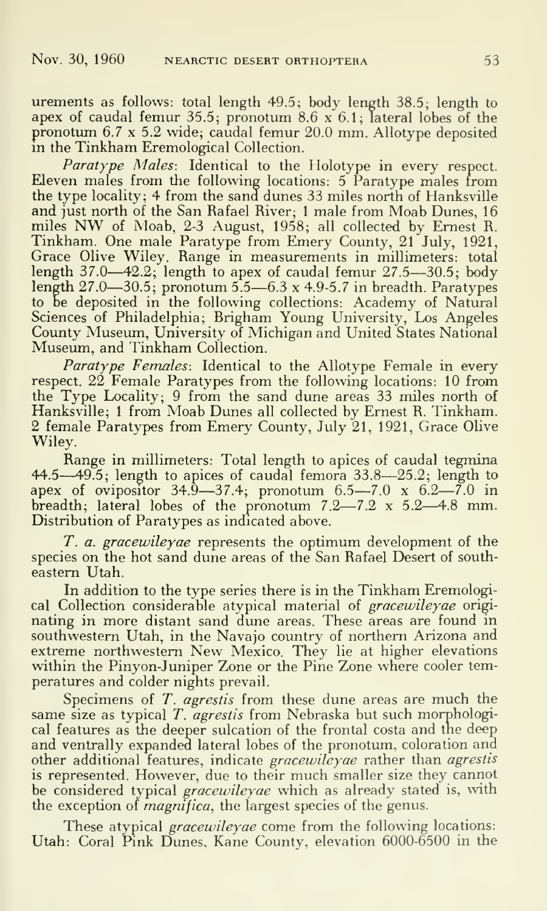urements as follows: total length 49.5; body length 38.5; length to apex of caudal femur 35.5; pronotum 8.6  $\mathbf{x}$  6.1; lateral lobes of the pronotum 6.7 <sup>x</sup> 5.2 wide; caudal femur 20.0 mm. Allotype deposited in the Tinkham Eremological Collection.

Paratype Males: Identical to the Holotype in every respect. Eleven males from the following locations: 5 Paratype males from the type locality; 4 from the sand dunes 33 miles north of Hanksville and just north of the San Rafael River; 1 male from Moab Dunes, 16 miles NW of Moab, 2-3 August, 1958; all collected by Ernest R. miles NW of Moab, 2-3 August, 1958; all collected by Ernest R. Tinkham. One male Paratype from Emery County, <sup>21</sup> July, 1921, Grace Olive Wiley. Range in measurements in millimeters: total length 37.0—42.2; length to apex of caudal femur 27.5—30.5; body length 27.0—30.5; pronotum 5.5—6.3 <sup>x</sup> 4.9-5.7 in breadth. Paratypes to be deposited in the following collections: Academy of Natural Sciences of Philadelphia; Brigham Young University, Los Angeles County Museum, University of Michigan and United States National Museum, and Tinkham Collection.

*Paratype Females:* Identical to the Allotype Female in every respect. 22 Female Paratypes from the following locations: 10 from the Type Locality; 9 from the sand dune areas 33 miles north of Hanksville; <sup>1</sup> from Moab Dunes all collected by Ernest R. Tinkham. 2 female Paratypes from Emery County, July 21, 1921, Grace Olive Wiley.

Range in millimeters: Total length to apices of caudal tegmina 44.5—49.5; length to apices of caudal femora 33.8—25.2; length to apex of ovipositor 34.9—37.4; pronotum 6.5—7.0 x 6.2—7.0 in breadth; lateral lobes of the pronotum 7.2—7.2 <sup>x</sup> 5.2—4.8 mm. Distribution of Paratypes as indicated above.

T. a. gracewileyae represents the optimum development of the species on the hot sand dune areas of the San Rafael Desert of south eastern Utah.

In addition to the type series there is in the Tinkham Eremological Collection considerable atypical material of *gracewileyae* originating in more distant sand dune areas. These areas are found in southwestern Utah, in the Navajo country of northern Arizona and extreme northwestern New Mexico. They lie at higher elevations within the Pinyon-Juniper Zone or the Pine Zone where cooler temperatures and colder nights prevail.

Specimens of T. agrestis from these dune areas are much the same size as typical T. agrestis from Nebraska but such morphological features as the deeper sulcation of the frontal costa and the deep and ventrally expanded lateral lobes of the pronotum. coloration and other additional features, indicate gracewileyae rather than agrestis is represented. However, due to their much smaller size they cannot be considered typical gracewileyae which as already stated is, with the exception of magnifica, the largest species of the genus.

These atypical *gracewileyae* come from the following locations: Utah: Coral Pink Dunes, Kane County, elevation 6000-6500 in the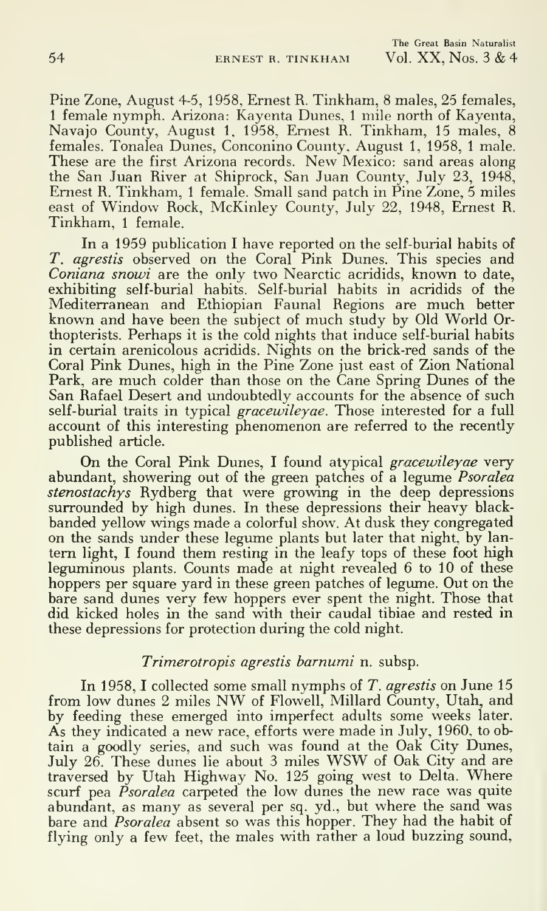Pine Zone, August 4-5, 1958, Ernest R. Tinkham, 8 males, 25 females, <sup>1</sup> female nymph. Arizona: Kayenta Dunes, <sup>1</sup> mile north of Kayenta, Navajo County, August 1, 1958, Ernest R. Tinkham, 15 males, 8 females. Tonalea Dunes, Conconino County, August 1, 1958, 1 male. These are the first Arizona records. New Mexico: sand areas along the San Juan River at Shiprock, San Juan County, July 23, 1948, Ernest R. Tinkham, 1 female. Small sand patch in Pine Zone, 5 miles east of Window Rock, McKinley County, July 22, 1948, Ernest R. Tinkham, <sup>1</sup> female.

In a 1959 publication <sup>I</sup> have reported on the self-burial habits of T. agrestis observed on the Coral Pink Dunes. This species and Coniana snowi are the only two Nearctic acridids, known to date, exhibiting self-burial habits. Self-burial habits in acridids of the known and have been the subject of much study by Old World Orthopterists. Perhaps it is the cold nights that induce self-burial habits in certain arenicolous acridids. Nights on the brick-red sands of the Coral Pink Dunes, high in the Pine Zone just east of Zion National Park, are much colder than those on the Cane Spring Dunes of the San Rafael Desert and undoubtedly accounts for the absence of such self-burial traits in typical gracewileyae. Those interested for a full account of this interesting phenomenon are referred to the recently published article.

On the Coral Pink Dunes, I found atypical gracewileyae very abundant, showering out of the green patches of a legume Psoralea stenostachys Rydberg that were growing in the deep depressions surrounded by high dunes. In these depressions their heavy blackbanded yellow wings made <sup>a</sup> colorful show. At dusk they congregated on the sands under these legume plants but later that night, by lan tern light, <sup>I</sup> found them resting in the leafy tops of these foot high leguminous plants. Counts made at night revealed 6 to 10 of these hoppers per square yard in these green patches of legume. Out on the bare sand dunes very few hoppers ever spent the night. Those that did kicked holes in the sand with their caudal tibiae and rested in these depressions for protection during the cold night.

#### Trimerotropis agrestis barnumi n. subsp.

In 1958, 1 collected some small nymphs of T. agrestis on June 15 from low dunes <sup>2</sup> miles NW of Flowell, Millard County, Utah, and by feeding these emerged into imperfect adults some weeks later. As they indicated <sup>a</sup> new race, efforts were made in July, 1960. to ob tain a goodly series, and such was found at the Oak City Dunes, July 26. These dunes lie about <sup>3</sup> miles WSW of Oak City and are traversed by Utah Highway No. 125 going west to Delta. Where scurf pea *Psoralea* carpeted the low dunes the new race was quite abundant, as many as several per sq. yd., but where the sand was bare and *Psoralea* absent so was this hopper. They had the habit of flying only a few feet, the males with rather a loud buzzing sound,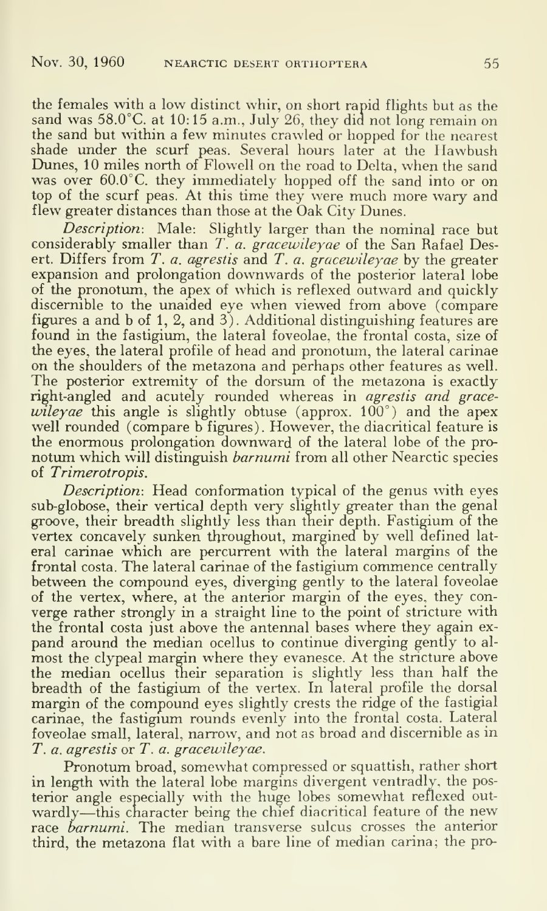the females with a low distinct whir, on short rapid flights but as the sand was  $58.0^{\circ}$ C. at 10:15 a.m., July 26, they did not long remain on the sand but within a few minutes crawled or hopped for the nearest shade under the scurf peas. Several hours later at the Hawbush Dunes, 10 miles north of Flowell on the road to Delta, when the sand was over 60.0°C. they immediately hopped off the sand into or on top of the scurf peas. At this time they were much more wary and flew greater distances than those at the Oak City Dunes.

Description: Male: Slightly larger than the nominal race but considerably smaller than  $T$ , a. gracewileyae of the San Rafael Desert. Differs from T. a. agrestis and T. a. gracewileyae by the greater expansion and prolongation downwards of the posterior lateral lobe of the pronotum, the apex of which is reflexed outward and quickly discernible to the unaided eye when viewed from above (compare figures a and b of 1, 2, and 3). Additional distinguishing features are found in the fastigium, the lateral foveolae, the frontal costa, size of the eyes, the lateral profile of head and pronotum, the lateral carinae on the shoulders of the metazona and perhaps other features as well. The posterior extremity of the dorsum of the metazona is exactly right-angled and acutely rounded whereas in agrestis and gracewileyae this angle is slightly obtuse (approx.  $100^{\circ}$ ) and the apex well rounded (compare b figures). However, the diacritical feature is the enormous prolongation downward of the lateral lobe of the pro notum which will distinguish *barnumi* from all other Nearctic species of Trimerotropis.

Description: Head conformation typical of the genus with eyes sub-globose, their vertical depth very slightly greater than the genal groove, their breadth slightly less than their depth. Fastigium of the vertex concavely sunken throughout, margined by well defined lat eral carinae which are percurrent with the lateral margins of the frontal costa. The lateral carinae of the fastigium commence centrally between the compound eyes, diverging gently to the lateral foveolae of the vertex, where, at the anterior margin of the eyes, they con verge rather strongly in a straight line to the point of stricture with the frontal costa just above the antennal bases where they again ex pand around the median ocellus to continue diverging gently to al most the clypeal margin where they evanesce. At the stricture above the median ocellus their separation is slightly less than half the breadth of the fastigium of the vertex. In lateral profile the dorsal margin of the compound eyes slightly crests the ridge of the fastigial carinae, the fastigium rounds evenly into the frontal costa. Lateral foveolae small, lateral, narrow, and not as broad and discernible as in T. a. agrestis or T. a. gracewileyae.

Pronotum broad, somewhat compressed or squattish, rather short in length with the lateral lobe margins divergent ventradly. the posterior angle especially with the huge lobes somewhat reflexed out wardly—this character being the chief diacritical feature of the new race *barnumi*. The median transverse sulcus crosses the anterior third, the metazona flat with a bare line of median carina; the pro-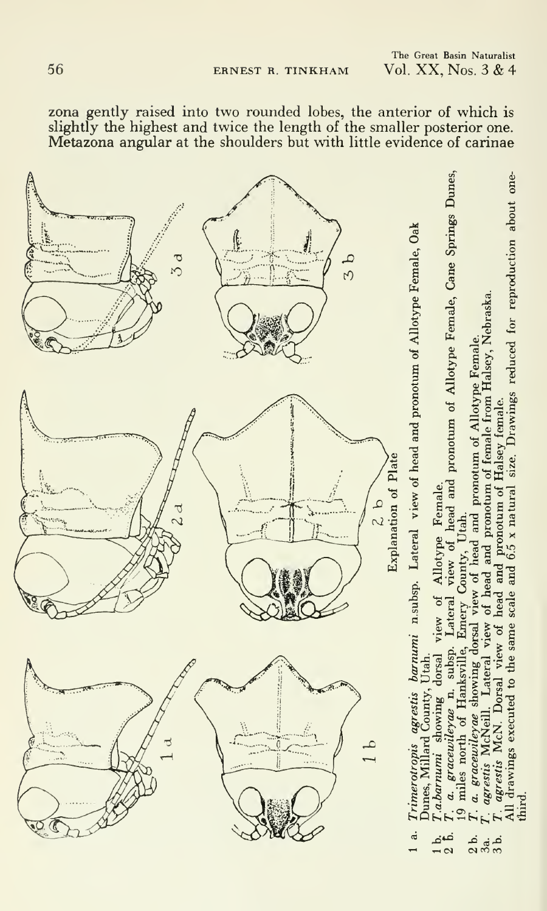$\boldsymbol{\epsilon}$  .

«

**ਰ** 

third. ਟ

 $\Xi \equiv \dot{\alpha}$  .

 $\ddot{a}$ 

 $\overline{a}$ 

ക്ക്<br>രി രിന്ന

s *barnumi* n.subsp. Lateral view of head and pronotum of Allotype Female, Oak (v, Utah.<br>Alorsal view of Allotype Female.<br>1. subsp. Lateral view of head and pronotum of Allotype Female, Cane Spring<br>mksville, Emery County, ರ  $\sum_{i=1}^{n}$ Z  $3^{\circ}$   $\frac{1}{2}$  $\frac{1}{2}$  $\frac{1}{2}$  $\frac{1}{2}$  $\frac{1}{2}$  $\frac{1}{2}$  $\frac{1}{2}$  $\frac{1}{2}$  $\frac{1}{2}$  $\frac{1}{2}$  $\frac{1}{2}$  $\frac{1}{2}$  $\frac{1}{2}$  $\frac{1}{2}$  $\frac{1}{2}$ Explanation of Plate o. 2' Female.  $\frac{a}{2}$  $\frac{d}{d}$ '^S. § 2 o Lateral vie<br>Imery Cour<br>sal view of  $\leq$   $\frac{1}{2}$   $\leq$   $\frac{1}{2}$   $\leq$   $\frac{1}{2}$   $\leq$   $\frac{1}{2}$   $\leq$   $\leq$   $\leq$  $\frac{1}{2}$ <br>  $\frac{1}{2}$ <br>  $\frac{1}{2}$ <br>  $\frac{1}{2}$ <br>  $\frac{1}{2}$ <br>  $\frac{1}{2}$ <br>  $\frac{1}{2}$ <br>  $\frac{1}{2}$ <br>  $\frac{1}{2}$ <br>  $\frac{1}{2}$ <br>  $\frac{1}{2}$ <br>  $\frac{1}{2}$ <br>  $\frac{1}{2}$ <br>  $\frac{1}{2}$ <br>  $\frac{1}{2}$ <br>  $\frac{1}{2}$ <br>  $\frac{1}{2}$ <br>  $\frac{1}{2}$ <br>  $\frac{1}{2}$ <br>  $\frac{1}{2}$ <br>  $\frac{d}{dt}$ <br> $\frac{d}{dt}$ <br> $\frac{d}{dt}$  $\frac{d}{dt}$  $\frac{d}{dt}$ <br> $\frac{d}{dt}$  $\frac{d}{dt}$ <br> $\frac{d}{dt}$ <br> $\frac{d}{dt}$ Millard County, U<br>*umi* showing do<br>*rracewileyae* n. s<br>s north of Hanks<br>tis McNeng Lowi<br>tis McN. Dorsal<br>stis McN. Dorsal ⊧an agrestis  $\frac{1}{2}$  $\frac{1}{2}$  $\frac{1}{2}$  $\frac{1}{2}$  $\frac{1}{2}$  $\frac{1}{2}$  $\frac{1}{2}$  $\frac{1}{2}$ gracewi agrestis 92 s a agrestis

zona gently raised into two rounded lobes, the anterior of which is slightly the highest and twice the length of the smaller posterior one. Metazona angular at the shoulders but with little evidence of carinae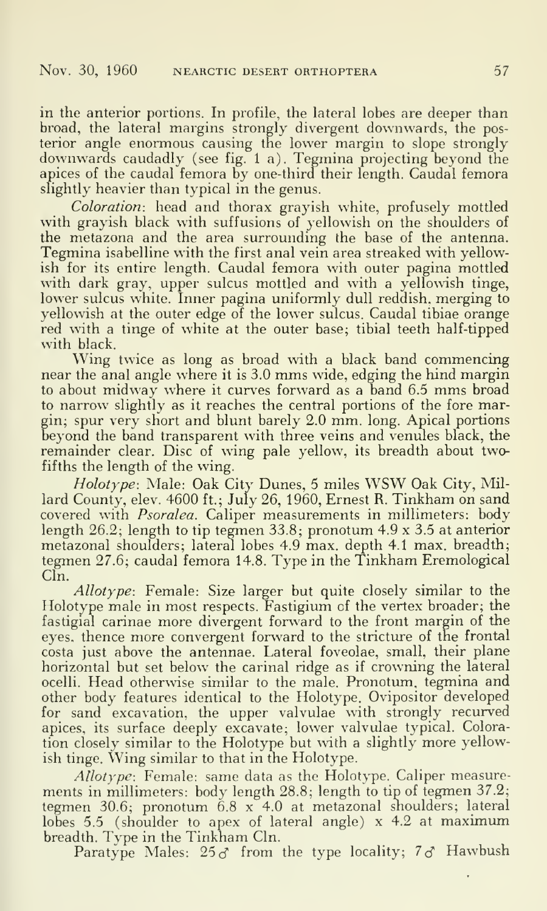in the anterior portions. In profile, the lateral lobes are deeper than broad, the lateral margins strongly divergent downwards, the posterior angle enormous causing the lower margin to slope strongly downwards caudadly (see fig. 1 a). Tegmina projecting beyond the apices of the caudal femora by one-third their length. Caudal femora slightly heavier than typical in the genus.

Coloration: head and thorax grayish white, profusely mottled with grayish black with suffusions of yellowish on the shoulders of the metazona and the area surrounding the base of the antenna. Tegmina isabelline with the first anal vein area streaked with yellowish for its entire length. Caudal femora with outer pagina mottled with dark gray, upper sulcus mottled and with a yellowish tinge, lower sulcus white. Inner pagina uniformly dull reddish, merging to yellowish at the outer edge of the lower sulcus. Caudal tibiae orange red with a tinge of white at the outer base; tibial teeth half-tipped with black.

Wing twice as long as broad with <sup>a</sup> black band commencing near the anal angle where it is 3.0 mms wide, edging the hind margin to about midway where it curves forward as a band 6.5 mms broad to narrow slightly as it reaches the central portions of the fore margin; spur very short and blunt barely 2.0 mm. long. Apical portions beyond the band transparent with three veins and venules black, the remainder clear. Disc of wing pale yellow, its breadth about twofifths the length of the wing.

Holotype: Male: Oak City Dunes, <sup>5</sup> miles WSW Oak City, Millard County, elev. 4600 ft.; July 26, 1960, Ernest R. Tinkham on sand covered with Psoralea. Caliper measurements in millimeters: body length 26.2; length to tip tegmen 33.8; pronotum 4.9 x 3.5 at anterior metazonal shoulders; lateral lobes 4.9 max. depth 4.1 max. breadth; tegmen 27.6; caudal femora 14.8. Type in the Tinkham Eremological Cln.

 $Allotype$ : Female: Size larger but quite closely similar to the Holotype male in most respects. Fastigium of the vertex broader; the fastigial carinae more divergent forward to the front margin of the eyes, thence more convergent forward to the stricture of the frontal costa just above the antennae. Lateral foveolae, small, their plane horizontal but set below the carinal ridge as if crowning the lateral ocelli. Head otherwise similar to the male. Pronotum, tegmina and other body features identical to the Holotype. Ovipositor developed for sand excavation, the upper valvulae with strongly recurved apices, its surface deeply excavate; lower valvulae typical. Coloration closely similar to the Holotype but with a slightly more yellowish tinge. Wing similar to that in the Holotype.

Allotype: Female: same data as the Holotype. Caliper measurements in millimeters: body length 28.8; length to tip of tegmen 37.2; tegmen 30.6; pronotum  $6.8$  x 4.0 at metazonal shoulders; lateral lobes 5.5 (shoulder to apex of lateral angle) x 4.2 at maximum breadth. Type in the Tinkham Cln.

Paratype Males:  $25\sigma$  from the type locality;  $7\sigma$  Hawbush